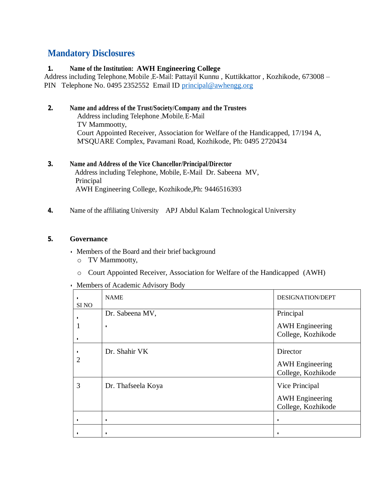# **Mandatory Disclosures**

### **1. Name of the Institution: AWH Engineering College**

Address including Telephone, Mobile ,E-Mail: Pattayil Kunnu , Kuttikkattor , Kozhikode, 673008 – PIN Telephone No. 0495 2352552 Email ID [principal@awhengg.org](mailto:principal@awhengg.org)

### **2. Name and address of the Trust/Society/Company and the Trustees**

Address including Telephone ,Mobile, E-Mail TV Mammootty, Court Appointed Receiver, Association for Welfare of the Handicapped, 17/194 A, M'SQUARE Complex, Pavamani Road, Kozhikode, Ph: 0495 2720434

## **3. Name and Address of the Vice Chancellor/Principal/Director**

 Address including Telephone, Mobile, E-Mail Dr. Sabeena MV, Principal AWH Engineering College, Kozhikode,Ph: 9446516393

**4.** Name of the affiliating University APJ Abdul Kalam Technological University

#### **5. Governance**

- Members of the Board and their brief background
	- o TV Mammootty,
	- o Court Appointed Receiver, Association for Welfare of the Handicapped (AWH)
- Members of Academic Advisory Body

| SI <sub>NO</sub> | <b>NAME</b>          | <b>DESIGNATION/DEPT</b>                                        |
|------------------|----------------------|----------------------------------------------------------------|
|                  | Dr. Sabeena MV,<br>٠ | Principal<br><b>AWH</b> Engineering<br>College, Kozhikode      |
| 2                | Dr. Shahir VK        | Director<br><b>AWH</b> Engineering<br>College, Kozhikode       |
| 3                | Dr. Thafseela Koya   | Vice Principal<br><b>AWH</b> Engineering<br>College, Kozhikode |
|                  | ٠                    | ٠                                                              |
|                  |                      |                                                                |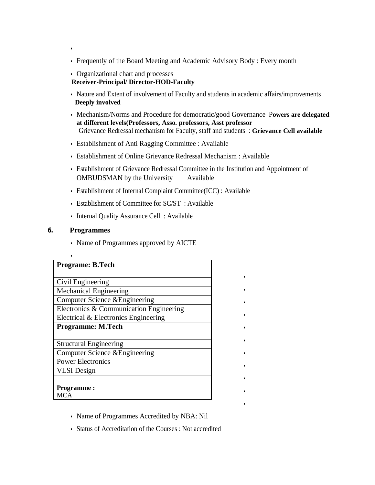- Frequently of the Board Meeting and Academic Advisory Body : Every month
- Organizational chart and processes **Receiver-Principal/ Director-HOD-Faculty**
- Nature and Extent of involvement of Faculty and students in academic affairs/improvements  **Deeply involved**
- Mechanism/Norms and Procedure for democratic/good Governance P**owers are delegated at different levels(Professors, Asso. professors, Asst professor** Grievance Redressal mechanism for Faculty, staff and students : **Grievance Cell available**
- Establishment of Anti Ragging Committee : Available
- Establishment of Online Grievance Redressal Mechanism : Available
- Establishment of Grievance Redressal Committee in the Institution and Appointment of OMBUDSMAN by the University Available

•

•

•

•

•

•

•

•

•

•

•

- Establishment of Internal Complaint Committee(ICC) : Available
- Establishment of Committee for SC/ST : Available
- Internal Quality Assurance Cell : Available

#### **6. Programmes**

•

• Name of Programmes approved by AICTE

| <b>Programe: B.Tech</b>                 |
|-----------------------------------------|
|                                         |
| Civil Engineering                       |
| <b>Mechanical Engineering</b>           |
| Computer Science & Engineering          |
| Electronics & Communication Engineering |
| Electrical & Electronics Engineering    |
| <b>Programme: M.Tech</b>                |
|                                         |
| <b>Structural Engineering</b>           |
| Computer Science & Engineering          |
| <b>Power Electronics</b>                |
| <b>VLSI</b> Design                      |
|                                         |
| <b>Programme:</b>                       |
| MCA                                     |

- Name of Programmes Accredited by NBA: Nil
- Status of Accreditation of the Courses : Not accredited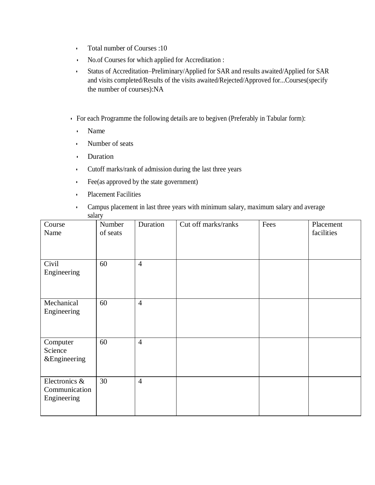- Total number of Courses :10
- No.of Courses for which applied for Accreditation :
- Status of Accreditation–Preliminary/Applied for SAR and results awaited/Applied for SAR and visits completed/Results of the visits awaited/Rejected/Approved for...Courses(specify the number of courses):NA
- For each Programme the following details are to begiven (Preferably in Tabular form):
	- Name
	- Number of seats
	- Duration
	- Cutoff marks/rank of admission during the last three years
	- Fee(as approved by the state government)
	- Placement Facilities
	- Campus placement in last three years with minimum salary, maximum salary and average salary

| Course<br>Name                                | Number<br>of seats | Duration       | Cut off marks/ranks | Fees | Placement<br>facilities |
|-----------------------------------------------|--------------------|----------------|---------------------|------|-------------------------|
| Civil<br>Engineering                          | 60                 | $\overline{4}$ |                     |      |                         |
| Mechanical<br>Engineering                     | 60                 | $\overline{4}$ |                     |      |                         |
| Computer<br>Science<br>&Engineering           | 60                 | $\overline{4}$ |                     |      |                         |
| Electronics &<br>Communication<br>Engineering | 30                 | $\overline{4}$ |                     |      |                         |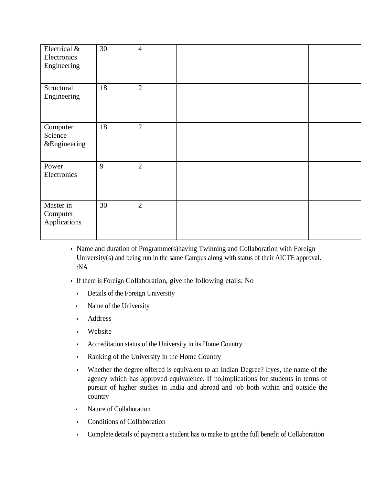| Electrical &<br>Electronics<br>Engineering     | 30 | $\overline{4}$ |  |  |
|------------------------------------------------|----|----------------|--|--|
| Structural<br>Engineering                      | 18 | $\overline{2}$ |  |  |
| Computer<br>Science<br><b>&amp;Engineering</b> | 18 | $\overline{2}$ |  |  |
| Power<br>Electronics                           | 9  | $\overline{2}$ |  |  |
| Master in<br>Computer<br>Applications          | 30 | $\overline{2}$ |  |  |

- Name and duration of Programme(s)having Twinning and Collaboration with Foreign University(s) and being run in the same Campus along with status of their AICTE approval. :NA
- If there is Foreign Collaboration, give the following etails: No
	- Details of the Foreign University
	- Name of the University
	- Address
	- Website
	- Accreditation status of the University in its Home Country
	- Ranking of the University in the Home Country
	- Whether the degree offered is equivalent to an Indian Degree? Ifyes, the name of the agency which has approved equivalence. If no,implications for students in terms of pursuit of higher studies in India and abroad and job both within and outside the country
	- Nature of Collaboration
	- Conditions of Collaboration
	- Complete details of payment a student has to make to get the full benefit of Collaboration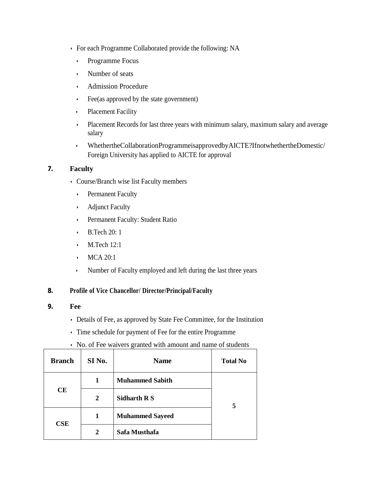- For each Programme Collaborated provide the following: NA
	- Programme Focus
	- Number of seats
	- Admission Procedure
	- Fee(as approved by the state government)
	- Placement Facility
	- Placement Records for last three years with minimum salary, maximum salary and average salary
	- WhethertheCollaborationProgrammeisapprovedbyAICTE?IfnotwhethertheDomestic/ Foreign University has applied to AICTE for approval

### **7. Faculty**

- Course/Branch wise list Faculty members
	- Permanent Faculty
	- Adjunct Faculty
	- Permanent Faculty: Student Ratio
	- B.Tech 20: 1
	- M.Tech 12:1
	- MCA 20:1
	- Number of Faculty employed and left during the last three years

#### **8. Profile of Vice Chancellor/ Director/Principal/Faculty**

- **9. Fee**
	- Details of Fee, as approved by State Fee Committee, for the Institution
	- Time schedule for payment of Fee for the entire Programme
	- No. of Fee waivers granted with amount and name of students

| <b>Branch</b> | SI No.       | <b>Name</b>            | <b>Total No</b> |
|---------------|--------------|------------------------|-----------------|
|               | 1            | <b>Muhammed Sabith</b> |                 |
| <b>CE</b>     | $\mathbf{2}$ | Sidharth R S           | 5               |
| CSE           | 1            | <b>Muhammed Sayeed</b> |                 |
|               | 2            | Safa Musthafa          |                 |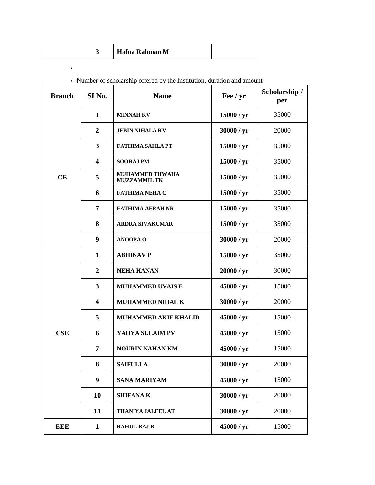| Hafna Rahman M |  |  |  |  |
|----------------|--|--|--|--|
|----------------|--|--|--|--|

 $\mathbf{e}^{\mathbf{e}}$  by  $\mathbf{e}^{\mathbf{e}}$  ,  $\mathbf{e}^{\mathbf{e}}$  ,  $\mathbf{e}^{\mathbf{e}}$  ,  $\mathbf{e}^{\mathbf{e}}$ 

| <b>Branch</b> | SI <sub>No.</sub>       | <b>Name</b>                                   | Fee / yr   | Scholarship /<br>per |
|---------------|-------------------------|-----------------------------------------------|------------|----------------------|
|               | 1                       | <b>MINNAH KV</b>                              | 15000 / yr | 35000                |
|               | $\overline{2}$          | <b>JEBIN NIHALA KV</b>                        | 30000 / yr | 20000                |
|               | $\mathbf{3}$            | <b>FATHIMA SAHLA PT</b>                       | 15000 / yr | 35000                |
|               | $\overline{\mathbf{4}}$ | <b>SOORAJ PM</b>                              | 15000 / yr | 35000                |
| CE            | 5                       | <b>MUHAMMED THWAHA</b><br><b>MUZZAMMIL TK</b> | 15000 / yr | 35000                |
|               | 6                       | <b>FATHIMA NEHA C</b>                         | 15000 / yr | 35000                |
|               | 7                       | <b>FATHIMA AFRAH NR</b>                       | 15000 / yr | 35000                |
|               | 8                       | <b>ARDRA SIVAKUMAR</b>                        | 15000 / yr | 35000                |
|               | 9                       | <b>ANOOPA O</b>                               | 30000 / yr | 20000                |
|               | $\mathbf{1}$            | <b>ABHINAV P</b>                              | 15000 / yr | 35000                |
|               | $\overline{2}$          | <b>NEHA HANAN</b>                             | 20000 / yr | 30000                |
|               | $\mathbf{3}$            | <b>MUHAMMED UVAIS E</b>                       | 45000 / yr | 15000                |
|               | $\overline{\mathbf{4}}$ | <b>MUHAMMED NIHAL K</b>                       | 30000 / yr | 20000                |
|               | 5                       | <b>MUHAMMED AKIF KHALID</b>                   | 45000 / yr | 15000                |
| CSE           | 6                       | YAHYA SULAIM PV                               | 45000 / yr | 15000                |
|               | 7                       | <b>NOURIN NAHAN KM</b>                        | 45000 / yr | 15000                |
|               | 8                       | <b>SAIFULLA</b>                               | 30000 / yr | 20000                |
|               | $\boldsymbol{9}$        | <b>SANA MARIYAM</b>                           | 45000 / yr | 15000                |
|               | 10                      | <b>SHIFANA K</b>                              | 30000 / yr | 20000                |
|               | 11                      | THANIYA JALEEL AT                             | 30000 / yr | 20000                |
| <b>EEE</b>    | $\mathbf{1}$            | <b>RAHUL RAJ R</b>                            | 45000 / yr | 15000                |

|  |  |  |  | • Number of scholarship offered by the Institution, duration and amount |  |  |
|--|--|--|--|-------------------------------------------------------------------------|--|--|
|--|--|--|--|-------------------------------------------------------------------------|--|--|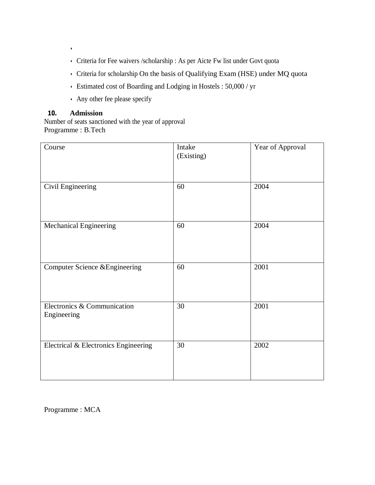- Criteria for Fee waivers /scholarship : As per Aicte Fw list under Govt quota
- Criteria for scholarship On the basis of Qualifying Exam (HSE) under MQ quota
- Estimated cost of Boarding and Lodging in Hostels : 50,000 / yr
- Any other fee please specify

## **10. Admission**

•

Number of seats sanctioned with the year of approval Programme : B.Tech

| Course                                     | Intake<br>(Existing) | Year of Approval |
|--------------------------------------------|----------------------|------------------|
| Civil Engineering                          | 60                   | 2004             |
| Mechanical Engineering                     | 60                   | 2004             |
| Computer Science & Engineering             | 60                   | 2001             |
| Electronics & Communication<br>Engineering | 30                   | 2001             |
| Electrical & Electronics Engineering       | 30                   | 2002             |

Programme : MCA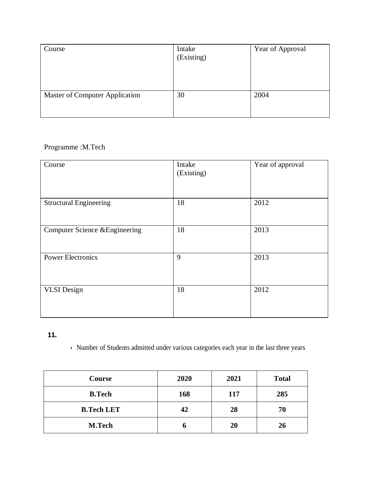| Course                         | Intake<br>(Existing) | Year of Approval |
|--------------------------------|----------------------|------------------|
| Master of Computer Application | 30                   | 2004             |

# Programme :M.Tech

| Course                         | Intake<br>(Existing) | Year of approval |
|--------------------------------|----------------------|------------------|
| <b>Structural Engineering</b>  | 18                   | 2012             |
| Computer Science & Engineering | 18                   | 2013             |
| <b>Power Electronics</b>       | 9                    | 2013             |
| <b>VLSI</b> Design             | 18                   | 2012             |

# **11.**

• Number of Students admitted under various categories each year in the last three years

| Course            | 2020 | 2021 | <b>Total</b> |
|-------------------|------|------|--------------|
| <b>B.Tech</b>     | 168  | 117  | 285          |
| <b>B.Tech LET</b> | 42   | 28   | 70           |
| <b>M.Tech</b>     | o    | 20   | 26           |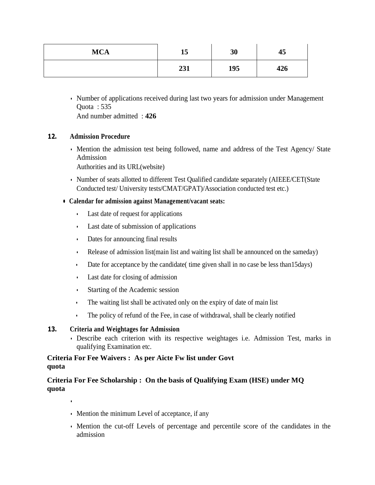| <b>MCA</b> | 15                 | 30  | $\blacksquare$<br>45 |
|------------|--------------------|-----|----------------------|
|            | 721<br><i>LJ</i> 1 | 195 | 426                  |

• Number of applications received during last two years for admission under Management Quota : 535 And number admitted : **426**

### **12. Admission Procedure**

• Mention the admission test being followed, name and address of the Test Agency/ State Admission

Authorities and its URL(website)

• Number of seats allotted to different Test Qualified candidate separately (AIEEE/CET(State Conducted test/ University tests/CMAT/GPAT)/Association conducted test etc.)

### **• Calendar for admission against Management/vacant seats:**

- Last date of request for applications
- Last date of submission of applications
- Dates for announcing final results
- Release of admission list(main list and waiting list shall be announced on the sameday)
- Date for acceptance by the candidate (time given shall in no case be less than15days)
- Last date for closing of admission
- Starting of the Academic session
- The waiting list shall be activated only on the expiry of date of main list
- The policy of refund of the Fee, in case of withdrawal, shall be clearly notified

## **13. Criteria and Weightages for Admission**

•

• Describe each criterion with its respective weightages i.e. Admission Test, marks in qualifying Examination etc.

## **Criteria For Fee Waivers : As per Aicte Fw list under Govt quota**

## **Criteria For Fee Scholarship : On the basis of Qualifying Exam (HSE) under MQ quota**

- Mention the minimum Level of acceptance, if any
- Mention the cut-off Levels of percentage and percentile score of the candidates in the admission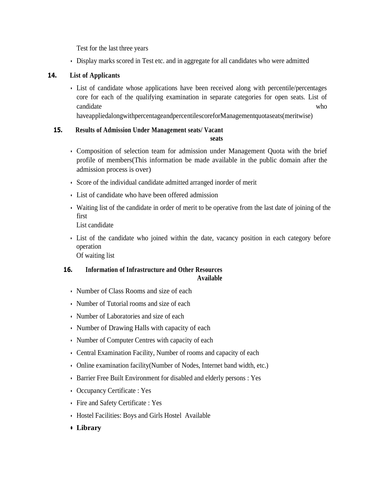Test for the last three years

• Display marks scored in Test etc. and in aggregate for all candidates who were admitted

## **14. List of Applicants**

• List of candidate whose applications have been received along with percentile/percentages core for each of the qualifying examination in separate categories for open seats. List of candidate who who who will be expected as  $\mu$  who who who who who will be expected as  $\mu$ 

haveappliedalongwithpercentageandpercentilescoreforManagementquotaseats(meritwise)

## **15. Results of Admission Under Management seats/ Vacant**

**seats**

- Composition of selection team for admission under Management Quota with the brief profile of members(This information be made available in the public domain after the admission process is over)
- Score of the individual candidate admitted arranged inorder of merit
- List of candidate who have been offered admission
- Waiting list of the candidate in order of merit to be operative from the last date of joining of the first

List candidate

• List of the candidate who joined within the date, vacancy position in each category before operation

Of waiting list

## **16. Information of Infrastructure and Other Resources Available**

- Number of Class Rooms and size of each
- Number of Tutorial rooms and size of each
- Number of Laboratories and size of each
- Number of Drawing Halls with capacity of each
- Number of Computer Centres with capacity of each
- Central Examination Facility, Number of rooms and capacity of each
- Online examination facility(Number of Nodes, Internet band width, etc.)
- Barrier Free Built Environment for disabled and elderly persons : Yes
- Occupancy Certificate : Yes
- Fire and Safety Certificate : Yes
- Hostel Facilities: Boys and Girls Hostel Available
- **• Library**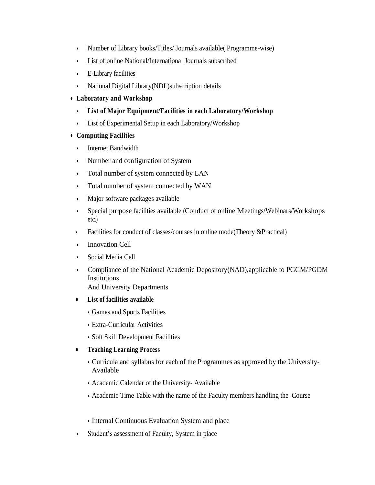- Number of Library books/Titles/ Journals available( Programme-wise)
- List of online National/International Journals subscribed
- E-Library facilities
- National Digital Library(NDL)subscription details
- **• Laboratory and Workshop**
	- **List of Major Equipment/Facilities in each Laboratory/Workshop**
	- List of Experimental Setup in each Laboratory/Workshop

### **• Computing Facilities**

- Internet Bandwidth
- Number and configuration of System
- Total number of system connected by LAN
- Total number of system connected by WAN
- Major software packages available
- Special purpose facilities available (Conduct of online Meetings/Webinars/Workshops, etc.)
- Facilities for conduct of classes/courses in online mode(Theory &Practical)
- Innovation Cell
- Social Media Cell
- Compliance of the National Academic Depository(NAD),applicable to PGCM/PGDM Institutions And University Departments
- **• List of facilities available**
	- Games and Sports Facilities
	- Extra-Curricular Activities
	- Soft Skill Development Facilities
- **• Teaching Learning Process**
	- Curricula and syllabus for each of the Programmes as approved by the University-Available
	- Academic Calendar of the University- Available
	- Academic Time Table with the name of the Faculty members handling the Course
	- Internal Continuous Evaluation System and place
- Student's assessment of Faculty, System in place